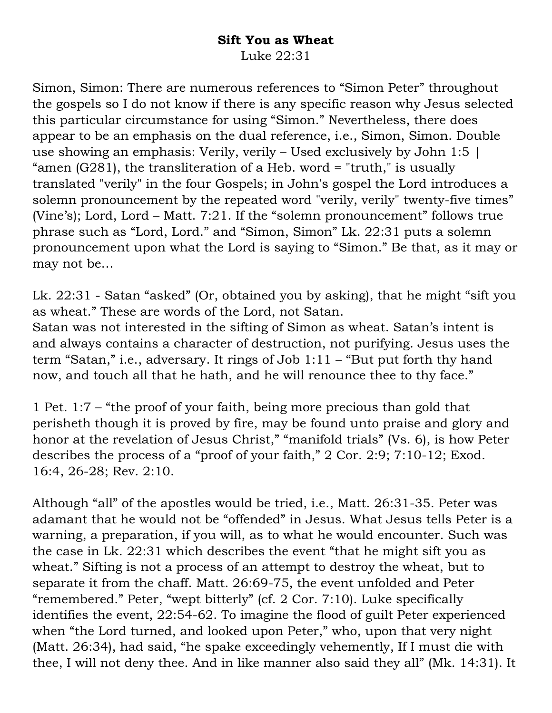## **Sift You as Wheat**

Luke 22:31

Simon, Simon: There are numerous references to "Simon Peter" throughout the gospels so I do not know if there is any specific reason why Jesus selected this particular circumstance for using "Simon." Nevertheless, there does appear to be an emphasis on the dual reference, i.e., Simon, Simon. Double use showing an emphasis: Verily, verily – Used exclusively by John 1:5 | "amen (G281), the transliteration of a Heb. word = "truth," is usually translated "verily" in the four Gospels; in John's gospel the Lord introduces a solemn pronouncement by the repeated word "verily, verily" twenty-five times" (Vine's); Lord, Lord – Matt. 7:21. If the "solemn pronouncement" follows true phrase such as "Lord, Lord." and "Simon, Simon" Lk. 22:31 puts a solemn pronouncement upon what the Lord is saying to "Simon." Be that, as it may or may not be…

Lk. 22:31 - Satan "asked" (Or, obtained you by asking), that he might "sift you as wheat." These are words of the Lord, not Satan.

Satan was not interested in the sifting of Simon as wheat. Satan's intent is and always contains a character of destruction, not purifying. Jesus uses the term "Satan," i.e., adversary. It rings of Job 1:11 – "But put forth thy hand now, and touch all that he hath, and he will renounce thee to thy face."

1 Pet. 1:7 – "the proof of your faith, being more precious than gold that perisheth though it is proved by fire, may be found unto praise and glory and honor at the revelation of Jesus Christ," "manifold trials" (Vs. 6), is how Peter describes the process of a "proof of your faith," 2 Cor. 2:9; 7:10-12; Exod. 16:4, 26-28; Rev. 2:10.

Although "all" of the apostles would be tried, i.e., Matt. 26:31-35. Peter was adamant that he would not be "offended" in Jesus. What Jesus tells Peter is a warning, a preparation, if you will, as to what he would encounter. Such was the case in Lk. 22:31 which describes the event "that he might sift you as wheat." Sifting is not a process of an attempt to destroy the wheat, but to separate it from the chaff. Matt. 26:69-75, the event unfolded and Peter "remembered." Peter, "wept bitterly" (cf. 2 Cor. 7:10). Luke specifically identifies the event, 22:54-62. To imagine the flood of guilt Peter experienced when "the Lord turned, and looked upon Peter," who, upon that very night (Matt. 26:34), had said, "he spake exceedingly vehemently, If I must die with thee, I will not deny thee. And in like manner also said they all" (Mk. 14:31). It